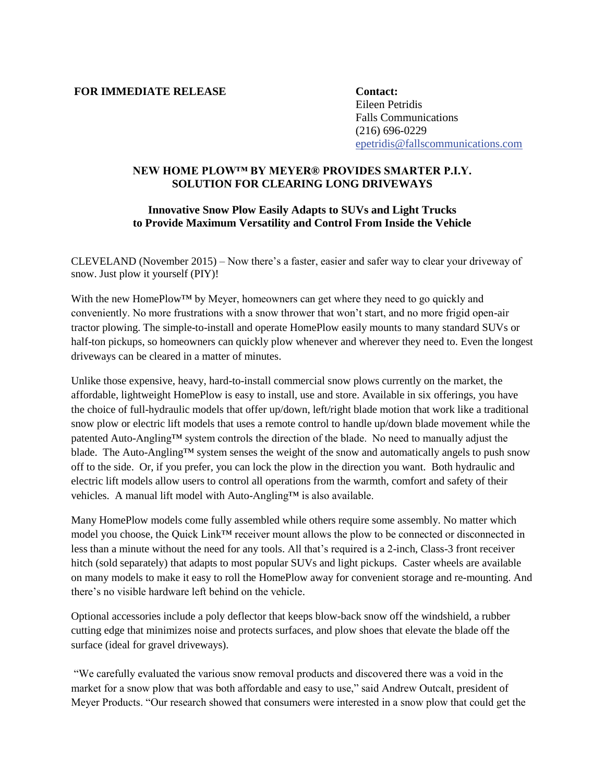## **FOR IMMEDIATE RELEASE Contact:**

Eileen Petridis Falls Communications (216) 696-0229 epetridis@fallscommunications.com

## **NEW HOME PLOW™ BY MEYER® PROVIDES SMARTER P.I.Y. SOLUTION FOR CLEARING LONG DRIVEWAYS**

## **Innovative Snow Plow Easily Adapts to SUVs and Light Trucks to Provide Maximum Versatility and Control From Inside the Vehicle**

CLEVELAND (November 2015) – Now there's a faster, easier and safer way to clear your driveway of snow. Just plow it yourself (PIY)!

With the new HomePlow™ by Meyer, homeowners can get where they need to go quickly and conveniently. No more frustrations with a snow thrower that won't start, and no more frigid open-air tractor plowing. The simple-to-install and operate HomePlow easily mounts to many standard SUVs or half-ton pickups, so homeowners can quickly plow whenever and wherever they need to. Even the longest driveways can be cleared in a matter of minutes.

Unlike those expensive, heavy, hard-to-install commercial snow plows currently on the market, the affordable, lightweight HomePlow is easy to install, use and store. Available in six offerings, you have the choice of full-hydraulic models that offer up/down, left/right blade motion that work like a traditional snow plow or electric lift models that uses a remote control to handle up/down blade movement while the patented Auto-Angling™ system controls the direction of the blade. No need to manually adjust the blade. The Auto-Angling™ system senses the weight of the snow and automatically angels to push snow off to the side. Or, if you prefer, you can lock the plow in the direction you want. Both hydraulic and electric lift models allow users to control all operations from the warmth, comfort and safety of their vehicles. A manual lift model with Auto-Angling™ is also available.

Many HomePlow models come fully assembled while others require some assembly. No matter which model you choose, the Quick Link™ receiver mount allows the plow to be connected or disconnected in less than a minute without the need for any tools. All that's required is a 2-inch, Class-3 front receiver hitch (sold separately) that adapts to most popular SUVs and light pickups. Caster wheels are available on many models to make it easy to roll the HomePlow away for convenient storage and re-mounting. And there's no visible hardware left behind on the vehicle.

Optional accessories include a poly deflector that keeps blow-back snow off the windshield, a rubber cutting edge that minimizes noise and protects surfaces, and plow shoes that elevate the blade off the surface (ideal for gravel driveways).

"We carefully evaluated the various snow removal products and discovered there was a void in the market for a snow plow that was both affordable and easy to use," said Andrew Outcalt, president of Meyer Products. "Our research showed that consumers were interested in a snow plow that could get the